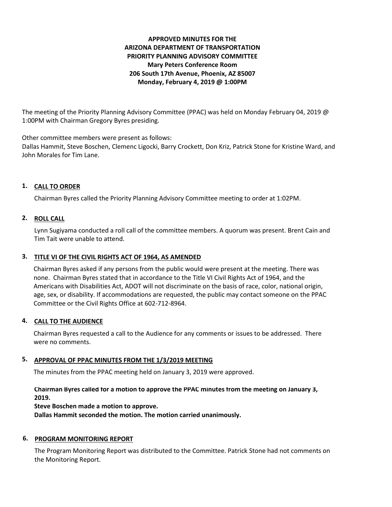# **APPROVED MINUTES FOR THE ARIZONA DEPARTMENT OF TRANSPORTATION PRIORITY PLANNING ADVISORY COMMITTEE Mary Peters Conference Room 206 South 17th Avenue, Phoenix, AZ 85007 Monday, February 4, 2019 @ 1:00PM**

The meeting of the Priority Planning Advisory Committee (PPAC) was held on Monday February 04, 2019 @ 1:00PM with Chairman Gregory Byres presiding.

Other committee members were present as follows:

Dallas Hammit, Steve Boschen, Clemenc Ligocki, Barry Crockett, Don Kriz, Patrick Stone for Kristine Ward, and John Morales for Tim Lane.

# **1. CALL TO ORDER**

Chairman Byres called the Priority Planning Advisory Committee meeting to order at 1:02PM.

# **2. ROLL CALL**

Lynn Sugiyama conducted a roll call of the committee members. A quorum was present. Brent Cain and Tim Tait were unable to attend.

## **3. TITLE VI OF THE CIVIL RIGHTS ACT OF 1964, AS AMENDED**

Chairman Byres asked if any persons from the public would were present at the meeting. There was none. Chairman Byres stated that in accordance to the Title VI Civil Rights Act of 1964, and the Americans with Disabilities Act, ADOT will not discriminate on the basis of race, color, national origin, age, sex, or disability. If accommodations are requested, the public may contact someone on the PPAC Committee or the Civil Rights Office at 602-712-8964.

# **4. CALL TO THE AUDIENCE**

Chairman Byres requested a call to the Audience for any comments or issues to be addressed. There were no comments.

# **5. APPROVAL OF PPAC MINUTES FROM THE 1/3/2019 MEETING**

The minutes from the PPAC meeting held on January 3, 2019 were approved.

## **Chairman Byres called for a motion to approve the PPAC minutes from the meeting on January 3, 2019.**

**Steve Boschen made a motion to approve.**

**Dallas Hammit seconded the motion. The motion carried unanimously.**

## **6. PROGRAM MONITORING REPORT**

The Program Monitoring Report was distributed to the Committee. Patrick Stone had not comments on the Monitoring Report.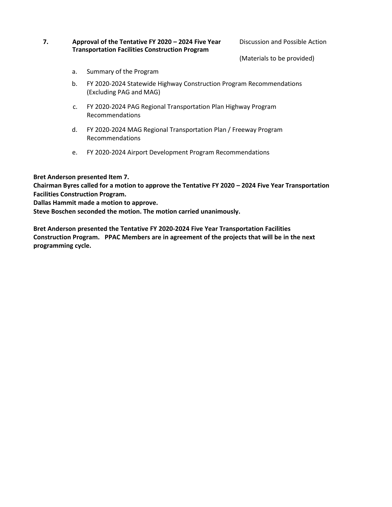## **7. Approval of the Tentative FY 2020 – 2024 Five Year Transportation Facilities Construction Program**

Discussion and Possible Action

(Materials to be provided)

- a. Summary of the Program
- b. FY 2020-2024 Statewide Highway Construction Program Recommendations (Excluding PAG and MAG)
- c. FY 2020-2024 PAG Regional Transportation Plan Highway Program Recommendations
- d. FY 2020-2024 MAG Regional Transportation Plan / Freeway Program Recommendations
- e. FY 2020-2024 Airport Development Program Recommendations

**Bret Anderson presented Item 7.** 

**Chairman Byres called for a motion to approve the Tentative FY 2020 – 2024 Five Year Transportation Facilities Construction Program.** 

**Dallas Hammit made a motion to approve.** 

**Steve Boschen seconded the motion. The motion carried unanimously.** 

**Bret Anderson presented the Tentative FY 2020-2024 Five Year Transportation Facilities Construction Program. PPAC Members are in agreement of the projects that will be in the next programming cycle.**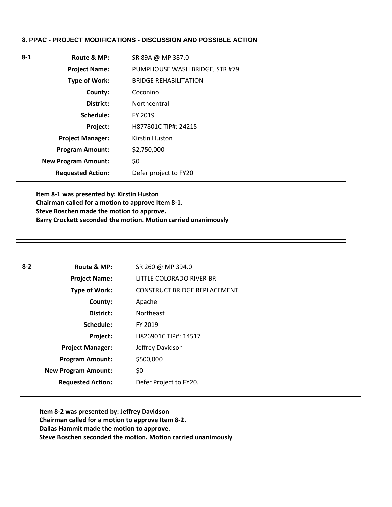## **8. PPAC - PROJECT MODIFICATIONS - DISCUSSION AND POSSIBLE ACTION**

|           | SR 89A @ MP 387.0                                                                                                                                                                       |
|-----------|-----------------------------------------------------------------------------------------------------------------------------------------------------------------------------------------|
|           | PUMPHOUSE WASH BRIDGE, STR #79                                                                                                                                                          |
|           | <b>BRIDGE REHABILITATION</b>                                                                                                                                                            |
| County:   | Coconino                                                                                                                                                                                |
| District: | Northcentral                                                                                                                                                                            |
|           | FY 2019                                                                                                                                                                                 |
| Project:  | H877801C TIP#: 24215                                                                                                                                                                    |
|           | Kirstin Huston                                                                                                                                                                          |
|           | \$2,750,000                                                                                                                                                                             |
|           | \$0                                                                                                                                                                                     |
|           | Defer project to FY20                                                                                                                                                                   |
|           | Route & MP:<br><b>Project Name:</b><br><b>Type of Work:</b><br>Schedule:<br><b>Project Manager:</b><br><b>Program Amount:</b><br><b>New Program Amount:</b><br><b>Requested Action:</b> |

**Item 8-1 was presented by: Kirstin Huston Chairman called for a motion to approve Item 8-1. Steve Boschen made the motion to approve. Barry Crockett seconded the motion. Motion carried unanimously** 

| $8 - 2$ | Route & MP:                | SR 260 @ MP 394.0                   |
|---------|----------------------------|-------------------------------------|
|         | <b>Project Name:</b>       | LITTLE COLORADO RIVER BR            |
|         | Type of Work:              | <b>CONSTRUCT BRIDGE REPLACEMENT</b> |
|         | County:                    | Apache                              |
|         | District:                  | <b>Northeast</b>                    |
|         | Schedule:                  | FY 2019                             |
|         | Project:                   | H826901C TIP#: 14517                |
|         | <b>Project Manager:</b>    | Jeffrey Davidson                    |
|         | <b>Program Amount:</b>     | \$500,000                           |
|         | <b>New Program Amount:</b> | \$0                                 |
|         | <b>Requested Action:</b>   | Defer Project to FY20.              |

**Item 8-2 was presented by: Jeffrey Davidson Chairman called for a motion to approve Item 8-2. Dallas Hammit made the motion to approve. Steve Boschen seconded the motion. Motion carried unanimously**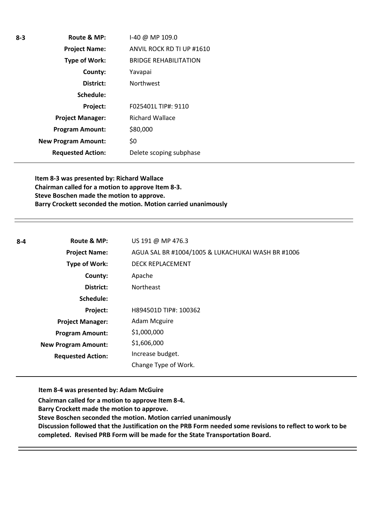| Route & MP:                | I-40 @ MP 109.0              |
|----------------------------|------------------------------|
| <b>Project Name:</b>       | ANVIL ROCK RD TI UP #1610    |
| <b>Type of Work:</b>       | <b>BRIDGE REHABILITATION</b> |
| County:                    | Yavapai                      |
| District:                  | <b>Northwest</b>             |
| Schedule:                  |                              |
| Project:                   | F025401L TIP#: 9110          |
| <b>Project Manager:</b>    | <b>Richard Wallace</b>       |
| <b>Program Amount:</b>     | \$80,000                     |
| <b>New Program Amount:</b> | \$0                          |
| <b>Requested Action:</b>   | Delete scoping subphase      |
|                            |                              |

**Item 8-3 was presented by: Richard Wallace Chairman called for a motion to approve Item 8-3. Steve Boschen made the motion to approve. Barry Crockett seconded the motion. Motion carried unanimously** 

| $8 - 4$ | Route & MP:                | US 191 @ MP 476.3                                 |
|---------|----------------------------|---------------------------------------------------|
|         | <b>Project Name:</b>       | AGUA SAL BR #1004/1005 & LUKACHUKAI WASH BR #1006 |
|         | <b>Type of Work:</b>       | <b>DECK REPLACEMENT</b>                           |
|         | County:                    | Apache                                            |
|         | District:                  | <b>Northeast</b>                                  |
|         | Schedule:                  |                                                   |
|         | Project:                   | H894501D TIP#: 100362                             |
|         | <b>Project Manager:</b>    | Adam Mcguire                                      |
|         | <b>Program Amount:</b>     | \$1,000,000                                       |
|         | <b>New Program Amount:</b> | \$1,606,000                                       |
|         | <b>Requested Action:</b>   | Increase budget.                                  |
|         |                            | Change Type of Work.                              |

**Item 8-4 was presented by: Adam McGuire** 

**Chairman called for a motion to approve Item 8-4.**

**Barry Crockett made the motion to approve.** 

**Steve Boschen seconded the motion. Motion carried unanimously** 

**Discussion followed that the Justification on the PRB Form needed some revisions to reflect to work to be completed. Revised PRB Form will be made for the State Transportation Board.** 

**8-3**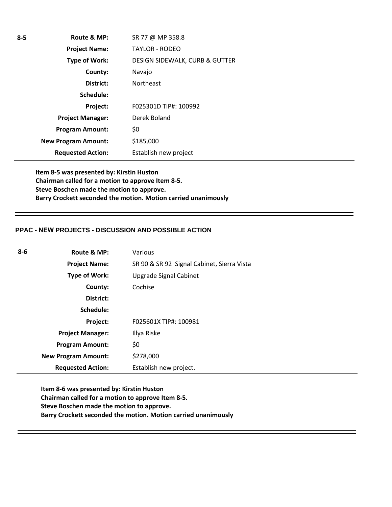| $8 - 5$ | Route & MP:                | SR 77 @ MP 358.8                          |
|---------|----------------------------|-------------------------------------------|
|         | <b>Project Name:</b>       | <b>TAYLOR - RODEO</b>                     |
|         | Type of Work:              | <b>DESIGN SIDEWALK, CURB &amp; GUTTER</b> |
|         | County:                    | Navajo                                    |
|         | District:                  | <b>Northeast</b>                          |
|         | Schedule:                  |                                           |
|         | Project:                   | F025301D TIP#: 100992                     |
|         | <b>Project Manager:</b>    | Derek Boland                              |
|         | <b>Program Amount:</b>     | \$0                                       |
|         | <b>New Program Amount:</b> | \$185,000                                 |
|         | <b>Requested Action:</b>   | Establish new project                     |

**Item 8-5 was presented by: Kirstin Huston Chairman called for a motion to approve Item 8-5. Steve Boschen made the motion to approve. Barry Crockett seconded the motion. Motion carried unanimously** 

## **PPAC - NEW PROJECTS - DISCUSSION AND POSSIBLE ACTION**

| 8-6 | Route & MP:                | Various                                    |
|-----|----------------------------|--------------------------------------------|
|     | <b>Project Name:</b>       | SR 90 & SR 92 Signal Cabinet, Sierra Vista |
|     | Type of Work:              | Upgrade Signal Cabinet                     |
|     | County:                    | Cochise                                    |
|     | District:                  |                                            |
|     | Schedule:                  |                                            |
|     | Project:                   | F025601X TIP#: 100981                      |
|     | <b>Project Manager:</b>    | Illya Riske                                |
|     | <b>Program Amount:</b>     | \$0                                        |
|     | <b>New Program Amount:</b> | \$278,000                                  |
|     | <b>Requested Action:</b>   | Establish new project.                     |

**Item 8-6 was presented by: Kirstin Huston Chairman called for a motion to approve Item 8-5. Steve Boschen made the motion to approve. Barry Crockett seconded the motion. Motion carried unanimously**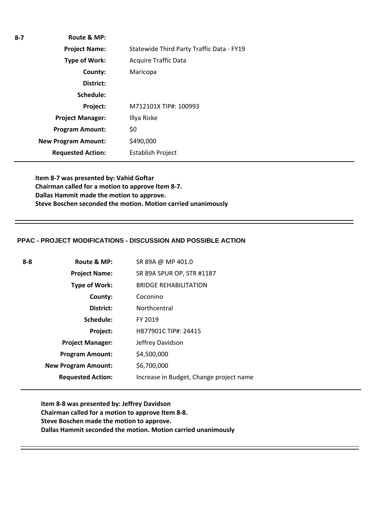| $8 - 7$ | Route & MP:                |                                           |
|---------|----------------------------|-------------------------------------------|
|         | <b>Project Name:</b>       | Statewide Third Party Traffic Data - FY19 |
|         | Type of Work:              | <b>Acquire Traffic Data</b>               |
|         | County:                    | Maricopa                                  |
|         | District:                  |                                           |
|         | Schedule:                  |                                           |
|         | Project:                   | M712101X TIP#: 100993                     |
|         | <b>Project Manager:</b>    | Illya Riske                               |
|         | <b>Program Amount:</b>     | \$0                                       |
|         | <b>New Program Amount:</b> | \$490,000                                 |
|         | <b>Requested Action:</b>   | <b>Establish Project</b>                  |

**Item 8-7 was presented by: Vahid Goftar Chairman called for a motion to approve Item 8-7. Dallas Hammit made the motion to approve. Steve Boschen seconded the motion. Motion carried unanimously** 

#### **PPAC - PROJECT MODIFICATIONS - DISCUSSION AND POSSIBLE ACTION**

| 8-8 | Route & MP:                | SR 89A @ MP 401.0                       |
|-----|----------------------------|-----------------------------------------|
|     | <b>Project Name:</b>       | SR 89A SPUR OP, STR #1187               |
|     | Type of Work:              | <b>BRIDGE REHABILITATION</b>            |
|     | County:                    | Coconino                                |
|     | District:                  | Northcentral                            |
|     | Schedule:                  | FY 2019                                 |
|     | Project:                   | H877901C TIP#: 24415                    |
|     | <b>Project Manager:</b>    | Jeffrey Davidson                        |
|     | <b>Program Amount:</b>     | \$4,500,000                             |
|     | <b>New Program Amount:</b> | \$6,700,000                             |
|     | <b>Requested Action:</b>   | Increase in Budget, Change project name |

**Item 8-8 was presented by: Jeffrey Davidson Chairman called for a motion to approve Item 8-8. Steve Boschen made the motion to approve. Dallas Hammit seconded the motion. Motion carried unanimously**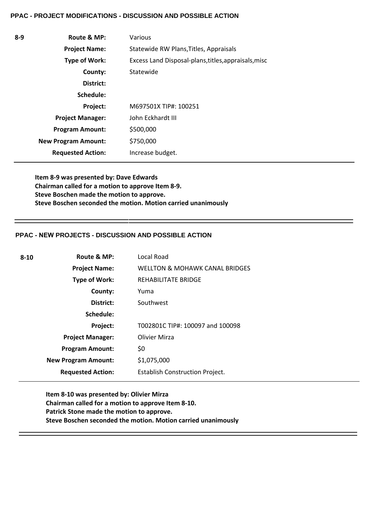#### **PPAC - PROJECT MODIFICATIONS - DISCUSSION AND POSSIBLE ACTION**

| $8-9$ | Route & MP:                | Various                                              |
|-------|----------------------------|------------------------------------------------------|
|       | <b>Project Name:</b>       | Statewide RW Plans, Titles, Appraisals               |
|       | Type of Work:              | Excess Land Disposal-plans, titles, appraisals, misc |
|       | County:                    | Statewide                                            |
|       | District:                  |                                                      |
|       | Schedule:                  |                                                      |
|       | Project:                   | M697501X TIP#: 100251                                |
|       | <b>Project Manager:</b>    | John Eckhardt III                                    |
|       | <b>Program Amount:</b>     | \$500,000                                            |
|       | <b>New Program Amount:</b> | \$750,000                                            |
|       | <b>Requested Action:</b>   | Increase budget.                                     |

**Item 8-9 was presented by: Dave Edwards Chairman called for a motion to approve Item 8-9. Steve Boschen made the motion to approve. Steve Boschen seconded the motion. Motion carried unanimously** 

## **PPAC - NEW PROJECTS - DISCUSSION AND POSSIBLE ACTION**

| $8 - 10$ | Route & MP:                | Local Road                                |
|----------|----------------------------|-------------------------------------------|
|          | <b>Project Name:</b>       | <b>WELLTON &amp; MOHAWK CANAL BRIDGES</b> |
|          | <b>Type of Work:</b>       | REHABILITATE BRIDGE                       |
|          | County:                    | Yuma                                      |
|          | District:                  | Southwest                                 |
|          | Schedule:                  |                                           |
|          | Project:                   | T002801C TIP#: 100097 and 100098          |
|          | <b>Project Manager:</b>    | <b>Olivier Mirza</b>                      |
|          | <b>Program Amount:</b>     | \$0                                       |
|          | <b>New Program Amount:</b> | \$1,075,000                               |
|          | <b>Requested Action:</b>   | <b>Establish Construction Project.</b>    |
|          |                            |                                           |

**Item 8-10 was presented by: Olivier Mirza Chairman called for a motion to approve Item 8-10. Patrick Stone made the motion to approve. Steve Boschen seconded the motion. Motion carried unanimously**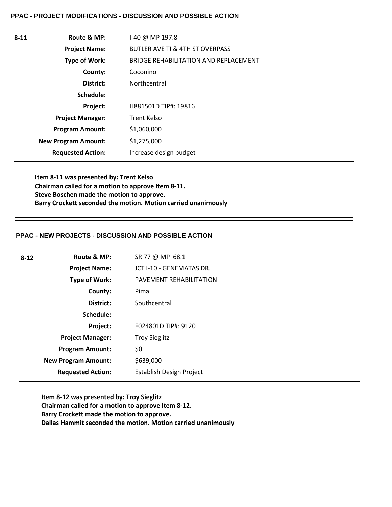#### **PPAC - PROJECT MODIFICATIONS - DISCUSSION AND POSSIBLE ACTION**

| $8 - 11$ | Route & MP:                | $1-40$ @ MP 197.8                            |
|----------|----------------------------|----------------------------------------------|
|          | <b>Project Name:</b>       | <b>BUTLER AVE TI &amp; 4TH ST OVERPASS</b>   |
|          | Type of Work:              | <b>BRIDGE REHABILITATION AND REPLACEMENT</b> |
|          | County:                    | Coconino                                     |
|          | District:                  | Northcentral                                 |
|          | Schedule:                  |                                              |
|          | Project:                   | H881501D TIP#: 19816                         |
|          | <b>Project Manager:</b>    | <b>Trent Kelso</b>                           |
|          | <b>Program Amount:</b>     | \$1,060,000                                  |
|          | <b>New Program Amount:</b> | \$1,275,000                                  |
|          | <b>Requested Action:</b>   | Increase design budget                       |

**Item 8-11 was presented by: Trent Kelso Chairman called for a motion to approve Item 8-11. Steve Boschen made the motion to approve. Barry Crockett seconded the motion. Motion carried unanimously** 

#### **PPAC - NEW PROJECTS - DISCUSSION AND POSSIBLE ACTION**

| $8 - 12$ | Route & MP:                | SR 77 @ MP 68.1          |
|----------|----------------------------|--------------------------|
|          | <b>Project Name:</b>       | JCT I-10 - GENEMATAS DR. |
|          | Type of Work:              | PAVEMENT REHABILITATION  |
|          | County:                    | Pima                     |
|          | District:                  | Southcentral             |
|          | Schedule:                  |                          |
|          | Project:                   | F024801D TIP#: 9120      |
|          | <b>Project Manager:</b>    | <b>Troy Sieglitz</b>     |
|          | <b>Program Amount:</b>     | \$0                      |
|          | <b>New Program Amount:</b> | \$639,000                |
|          | <b>Requested Action:</b>   | Establish Design Project |
|          |                            |                          |

**Item 8-12 was presented by: Troy Sieglitz Chairman called for a motion to approve Item 8-12. Barry Crockett made the motion to approve. Dallas Hammit seconded the motion. Motion carried unanimously**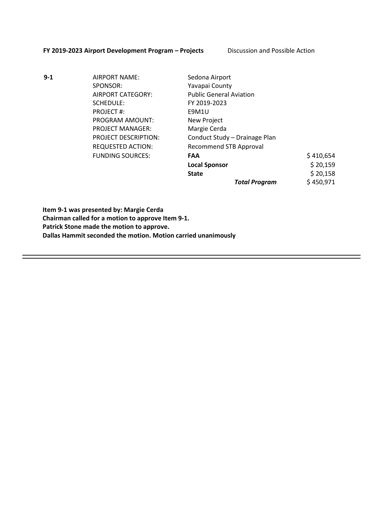#### **FY 2019-2023 Airport Development Program – Projects** Discussion and Possible Action

**9-1** AIRPORT NAME: Sedona Airport SPONSOR: Yavapai County SCHEDULE: FY 2019-2023 PROJECT #: E9M1U PROGRAM AMOUNT: New Project PROJECT MANAGER: Margie Cerda

AIRPORT CATEGORY: Public General Aviation PROJECT DESCRIPTION: Conduct Study – Drainage Plan REQUESTED ACTION: Recommend STB Approval FUNDING SOURCES: **FAA** \$ 410,654 **Local Sponsor**  $\qquad \qquad$  \$ 20,159 **State**  $\begin{array}{ccc} 5 & 20,158 \\ \end{array}$ *Total Program* \$ 450,971

**Item 9-1 was presented by: Margie Cerda Chairman called for a motion to approve Item 9-1. Patrick Stone made the motion to approve. Dallas Hammit seconded the motion. Motion carried unanimously**